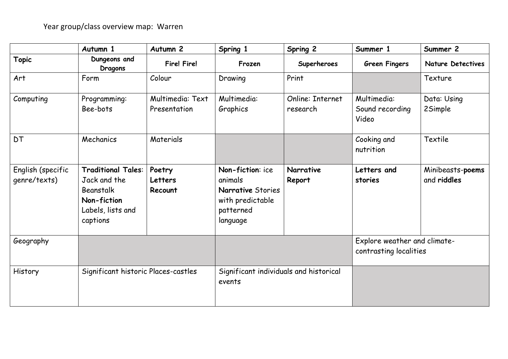|                                   | Autumn 1                                                                                               | Autumn <sub>2</sub>              | Spring 1                                                                                      | Spring 2                     | Summer 1                                               | Summer 2                        |
|-----------------------------------|--------------------------------------------------------------------------------------------------------|----------------------------------|-----------------------------------------------------------------------------------------------|------------------------------|--------------------------------------------------------|---------------------------------|
| <b>Topic</b>                      | Dungeons and<br>Dragons                                                                                | <b>Fire! Fire!</b>               | Frozen                                                                                        | Superheroes                  | <b>Green Fingers</b>                                   | <b>Nature Detectives</b>        |
| Art                               | Form                                                                                                   | Colour                           | Drawing                                                                                       | Print                        |                                                        | Texture                         |
| Computing                         | Programming:<br>Bee-bots                                                                               | Multimedia: Text<br>Presentation | Multimedia:<br>Graphics                                                                       | Online: Internet<br>research | Multimedia:<br>Sound recording<br>Video                | Data: Using<br>2Simple          |
| <b>DT</b>                         | Mechanics                                                                                              | Materials                        |                                                                                               |                              | Cooking and<br>nutrition                               | Textile                         |
| English (specific<br>genre/texts) | <b>Traditional Tales:</b><br>Jack and the<br>Beanstalk<br>Non-fiction<br>Labels, lists and<br>captions | Poetry<br>Letters<br>Recount     | Non-fiction: ice<br>animals<br>Narrative Stories<br>with predictable<br>patterned<br>language | Narrative<br>Report          | Letters and<br>stories                                 | Minibeasts-poems<br>and riddles |
| Geography                         |                                                                                                        |                                  |                                                                                               |                              | Explore weather and climate-<br>contrasting localities |                                 |
| History                           | Significant historic Places-castles                                                                    |                                  | Significant individuals and historical<br>events                                              |                              |                                                        |                                 |